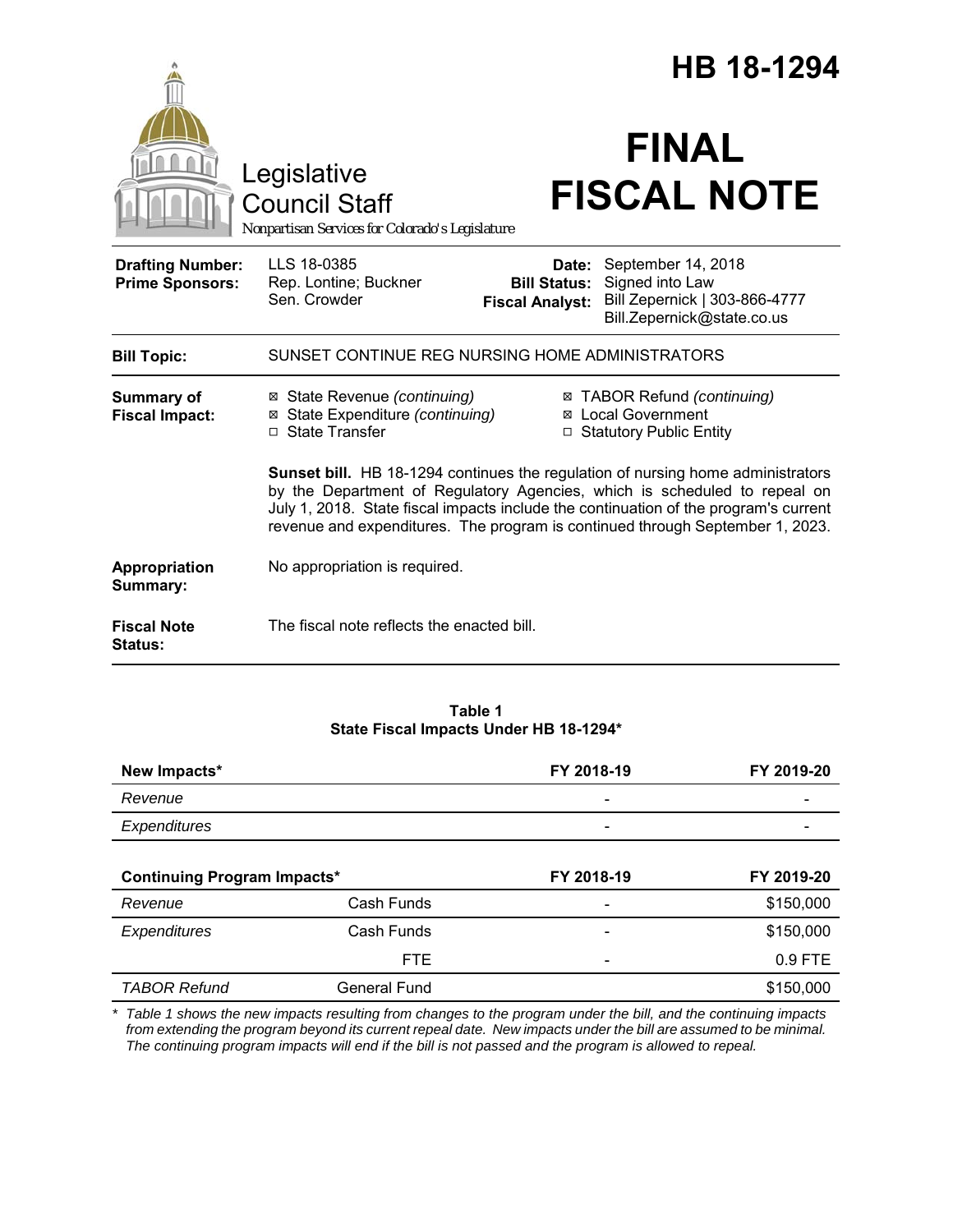|                                                   |                                                                                                                                                                                                                                                                                                                                              |                                                        | HB 18-1294                                                                                           |  |
|---------------------------------------------------|----------------------------------------------------------------------------------------------------------------------------------------------------------------------------------------------------------------------------------------------------------------------------------------------------------------------------------------------|--------------------------------------------------------|------------------------------------------------------------------------------------------------------|--|
|                                                   | Legislative<br><b>Council Staff</b><br>Nonpartisan Services for Colorado's Legislature                                                                                                                                                                                                                                                       |                                                        | <b>FINAL</b><br><b>FISCAL NOTE</b>                                                                   |  |
| <b>Drafting Number:</b><br><b>Prime Sponsors:</b> | LLS 18-0385<br>Rep. Lontine; Buckner<br>Sen. Crowder                                                                                                                                                                                                                                                                                         | Date:<br><b>Bill Status:</b><br><b>Fiscal Analyst:</b> | September 14, 2018<br>Signed into Law<br>Bill Zepernick   303-866-4777<br>Bill.Zepernick@state.co.us |  |
| <b>Bill Topic:</b>                                | SUNSET CONTINUE REG NURSING HOME ADMINISTRATORS                                                                                                                                                                                                                                                                                              |                                                        |                                                                                                      |  |
| Summary of<br><b>Fiscal Impact:</b>               | ⊠ State Revenue (continuing)<br>⊠ State Expenditure (continuing)<br>□ State Transfer                                                                                                                                                                                                                                                         |                                                        | ⊠ TABOR Refund (continuing)<br><b>⊠</b> Local Government<br>□ Statutory Public Entity                |  |
|                                                   | <b>Sunset bill.</b> HB 18-1294 continues the regulation of nursing home administrators<br>by the Department of Regulatory Agencies, which is scheduled to repeal on<br>July 1, 2018. State fiscal impacts include the continuation of the program's current<br>revenue and expenditures. The program is continued through September 1, 2023. |                                                        |                                                                                                      |  |
| Appropriation<br>Summary:                         | No appropriation is required.                                                                                                                                                                                                                                                                                                                |                                                        |                                                                                                      |  |
| <b>Fiscal Note</b><br><b>Status:</b>              | The fiscal note reflects the enacted bill.                                                                                                                                                                                                                                                                                                   |                                                        |                                                                                                      |  |

# **Table 1 State Fiscal Impacts Under HB 18-1294\***

| New Impacts*                       |            | FY 2018-19                   | FY 2019-20 |
|------------------------------------|------------|------------------------------|------------|
| Revenue                            |            |                              |            |
| Expenditures                       |            | $\qquad \qquad \blacksquare$ |            |
| <b>Continuing Program Impacts*</b> |            | FY 2018-19                   | FY 2019-20 |
| Revenue                            | Cash Funds |                              | \$150,000  |
| Expenditures                       | Cash Funds |                              | \$150,000  |
|                                    | <b>FTE</b> |                              | $0.9$ FTE  |

*\* Table 1 shows the new impacts resulting from changes to the program under the bill, and the continuing impacts* from extending the program beyond its current repeal date. New impacts under the bill are assumed to be minimal. *The continuing program impacts will end if the bill is not passed and the program is allowed to repeal.*

**TABOR Refund** General Fund **6** General Fund